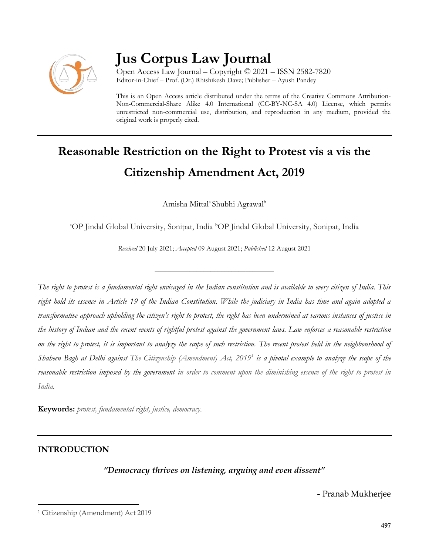

# **Jus Corpus Law Journal**

Open Access Law Journal – Copyright © 2021 – ISSN 2582-7820 Editor-in-Chief – Prof. (Dr.) Rhishikesh Dave; Publisher – Ayush Pandey

This is an Open Access article distributed under the terms of the Creative Commons Attribution-Non-Commercial-Share Alike 4.0 International (CC-BY-NC-SA 4.0) License, which permits unrestricted non-commercial use, distribution, and reproduction in any medium, provided the original work is properly cited.

# **Reasonable Restriction on the Right to Protest vis a vis the Citizenship Amendment Act, 2019**

Amisha Mittal<sup>a</sup> Shubhi Agrawal<sup>b</sup>

<sup>a</sup>OP Jindal Global University, Sonipat, India <sup>b</sup>OP Jindal Global University, Sonipat, India

*Received* 20 July 2021; *Accepted* 09 August 2021; *Published* 12 August 2021

\_\_\_\_\_\_\_\_\_\_\_\_\_\_\_\_\_\_\_\_\_\_\_\_\_\_\_\_\_\_\_\_\_\_

*The right to protest is a fundamental right envisaged in the Indian constitution and is available to every citizen of India. This right hold its essence in Article 19 of the Indian Constitution. While the judiciary in India has time and again adopted a transformative approach upholding the citizen's right to protest, the right has been undermined at various instances of justice in the history of Indian and the recent events of rightful protest against the government laws. Law enforces a reasonable restriction on the right to protest, it is important to analyze the scope of such restriction. The recent protest held in the neighbourhood of Shaheen Bagh at Delhi against The Citizenship (Amendment) Act, 2019<sup>1</sup> is a pivotal example to analyze the scope of the reasonable restriction imposed by the government in order to comment upon the diminishing essence of the right to protest in India.*

**Keywords:** *protest, fundamental right, justice, democracy.* 

### **INTRODUCTION**

l

### *"Democracy thrives on listening, arguing and even dissent"*

*-* Pranab Mukherjee

<sup>1</sup> Citizenship (Amendment) Act 2019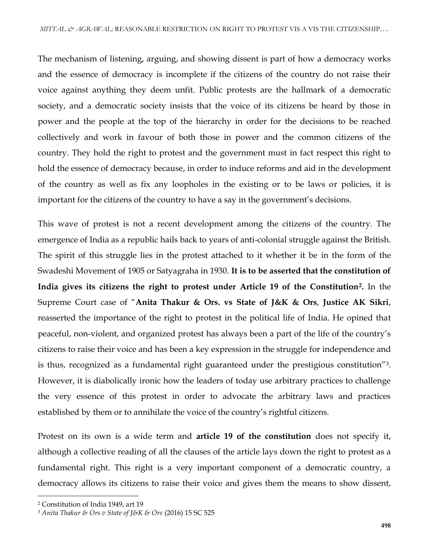The mechanism of listening, arguing, and showing dissent is part of how a democracy works and the essence of democracy is incomplete if the citizens of the country do not raise their voice against anything they deem unfit. Public protests are the hallmark of a democratic society, and a democratic society insists that the voice of its citizens be heard by those in power and the people at the top of the hierarchy in order for the decisions to be reached collectively and work in favour of both those in power and the common citizens of the country. They hold the right to protest and the government must in fact respect this right to hold the essence of democracy because, in order to induce reforms and aid in the development of the country as well as fix any loopholes in the existing or to be laws or policies, it is important for the citizens of the country to have a say in the government's decisions.

This wave of protest is not a recent development among the citizens of the country. The emergence of India as a republic hails back to years of anti-colonial struggle against the British. The spirit of this struggle lies in the protest attached to it whether it be in the form of the Swadeshi Movement of 1905 or Satyagraha in 1930. **It is to be asserted that the constitution of India gives its citizens the right to protest under Article 19 of the Constitution2.** In the Supreme Court case of "**Anita Thakur & Ors. vs State of J&K & Ors**, **Justice AK Sikri**, reasserted the importance of the right to protest in the political life of India. He opined that peaceful, non-violent, and organized protest has always been a part of the life of the country's citizens to raise their voice and has been a key expression in the struggle for independence and is thus, recognized as a fundamental right guaranteed under the prestigious constitution"3. However, it is diabolically ironic how the leaders of today use arbitrary practices to challenge the very essence of this protest in order to advocate the arbitrary laws and practices established by them or to annihilate the voice of the country's rightful citizens.

Protest on its own is a wide term and **article 19 of the constitution** does not specify it, although a collective reading of all the clauses of the article lays down the right to protest as a fundamental right. This right is a very important component of a democratic country, a democracy allows its citizens to raise their voice and gives them the means to show dissent,

l

<sup>2</sup> Constitution of India 1949, art 19

<sup>3</sup> *Anita Thakur & Ors v State of J&K & Ors* (2016) 15 SC 525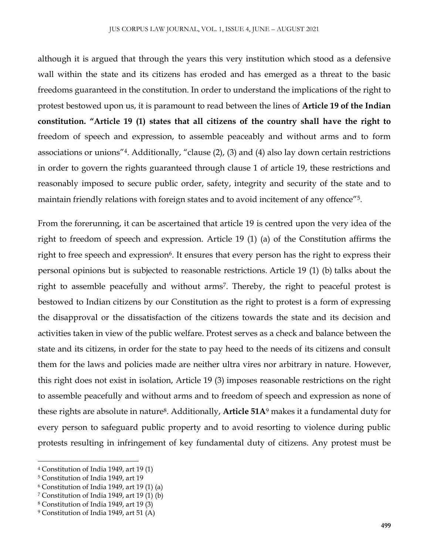although it is argued that through the years this very institution which stood as a defensive wall within the state and its citizens has eroded and has emerged as a threat to the basic freedoms guaranteed in the constitution. In order to understand the implications of the right to protest bestowed upon us, it is paramount to read between the lines of **Article 19 of the Indian constitution. "Article 19 (1) states that all citizens of the country shall have the right to**  freedom of speech and expression, to assemble peaceably and without arms and to form associations or unions"4. Additionally, "clause (2), (3) and (4) also lay down certain restrictions in order to govern the rights guaranteed through clause 1 of article 19, these restrictions and reasonably imposed to secure public order, safety, integrity and security of the state and to maintain friendly relations with foreign states and to avoid incitement of any offence"5.

From the forerunning, it can be ascertained that article 19 is centred upon the very idea of the right to freedom of speech and expression. Article 19 (1) (a) of the Constitution affirms the right to free speech and expression<sup>6</sup>. It ensures that every person has the right to express their personal opinions but is subjected to reasonable restrictions. Article 19 (1) (b) talks about the right to assemble peacefully and without arms<sup>7</sup>. Thereby, the right to peaceful protest is bestowed to Indian citizens by our Constitution as the right to protest is a form of expressing the disapproval or the dissatisfaction of the citizens towards the state and its decision and activities taken in view of the public welfare. Protest serves as a check and balance between the state and its citizens, in order for the state to pay heed to the needs of its citizens and consult them for the laws and policies made are neither ultra vires nor arbitrary in nature. However, this right does not exist in isolation, Article 19 (3) imposes reasonable restrictions on the right to assemble peacefully and without arms and to freedom of speech and expression as none of these rights are absolute in nature8. Additionally, **Article 51A**<sup>9</sup> makes it a fundamental duty for every person to safeguard public property and to avoid resorting to violence during public protests resulting in infringement of key fundamental duty of citizens. Any protest must be

 $\overline{\phantom{a}}$ 

<sup>4</sup> Constitution of India 1949, art 19 (1)

<sup>5</sup> Constitution of India 1949, art 19

<sup>6</sup> Constitution of India 1949, art 19 (1) (a)

<sup>7</sup> Constitution of India 1949, art 19 (1) (b)

<sup>8</sup> Constitution of India 1949, art 19 (3)

<sup>9</sup> Constitution of India 1949, art 51 (A)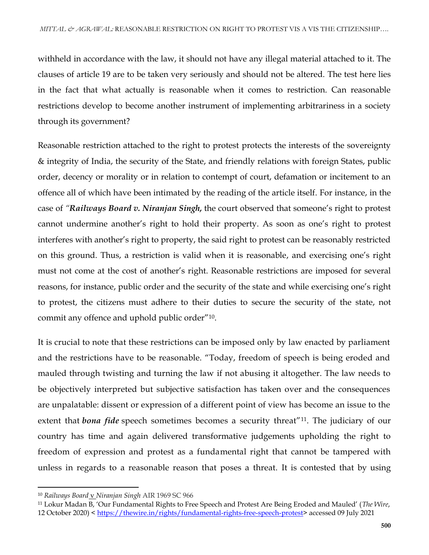withheld in accordance with the law, it should not have any illegal material attached to it. The clauses of article 19 are to be taken very seriously and should not be altered. The test here lies in the fact that what actually is reasonable when it comes to restriction. Can reasonable restrictions develop to become another instrument of implementing arbitrariness in a society through its government?

Reasonable restriction attached to the right to protest protects the interests of the sovereignty & integrity of India, the security of the State, and friendly relations with foreign States, public order, decency or morality or in relation to contempt of court, defamation or incitement to an offence all of which have been intimated by the reading of the article itself. For instance, in the case of *"Railways Board v. Niranjan Singh,* the court observed that someone's right to protest cannot undermine another's right to hold their property. As soon as one's right to protest interferes with another's right to property, the said right to protest can be reasonably restricted on this ground. Thus, a restriction is valid when it is reasonable, and exercising one's right must not come at the cost of another's right. Reasonable restrictions are imposed for several reasons, for instance, public order and the security of the state and while exercising one's right to protest, the citizens must adhere to their duties to secure the security of the state, not commit any offence and uphold public order"10.

It is crucial to note that these restrictions can be imposed only by law enacted by parliament and the restrictions have to be reasonable. "Today, freedom of speech is being eroded and mauled through twisting and turning the law if not abusing it altogether. The law needs to be objectively interpreted but subjective satisfaction has taken over and the consequences are unpalatable: dissent or expression of a different point of view has become an issue to the extent that *bona fide* speech sometimes becomes a security threat<sup>"11</sup>. The judiciary of our country has time and again delivered transformative judgements upholding the right to freedom of expression and protest as a fundamental right that cannot be tampered with unless in regards to a reasonable reason that poses a threat. It is contested that by using

 $\overline{a}$ 

<sup>10</sup> *Railways Board* v *[Niranjan Singh](https://indiankanoon.org/doc/80109/)* AIR 1969 SC 966

<sup>11</sup> Lokur Madan B, 'Our Fundamental Rights to Free Speech and Protest Are Being Eroded and Mauled' (*The Wire*, 12 October 2020) < [https://thewire.in/rights/fundamental-rights-free-speech-protest>](https://thewire.in/rights/fundamental-rights-free-speech-protest) accessed 09 July 2021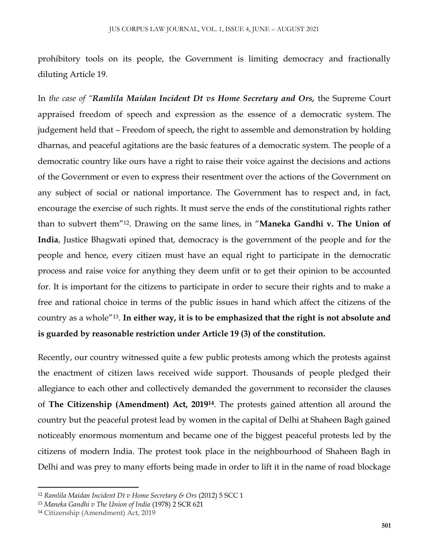prohibitory tools on its people, the Government is limiting democracy and fractionally diluting Article 19.

In *the case of "Ramlila Maidan Incident Dt vs Home Secretary and Ors,* the Supreme Court appraised freedom of speech and expression as the essence of a democratic system. The judgement held that – Freedom of speech, the right to assemble and demonstration by holding dharnas, and peaceful agitations are the basic features of a democratic system. The people of a democratic country like ours have a right to raise their voice against the decisions and actions of the Government or even to express their resentment over the actions of the Government on any subject of social or national importance. The Government has to respect and, in fact, encourage the exercise of such rights. It must serve the ends of the constitutional rights rather than to subvert them"12. Drawing on the same lines, in "**Maneka Gandhi v. The Union of India**, Justice Bhagwati opined that, democracy is the government of the people and for the people and hence, every citizen must have an equal right to participate in the democratic process and raise voice for anything they deem unfit or to get their opinion to be accounted for. It is important for the citizens to participate in order to secure their rights and to make a free and rational choice in terms of the public issues in hand which affect the citizens of the country as a whole"13. **In either way, it is to be emphasized that the right is not absolute and is guarded by reasonable restriction under Article 19 (3) of the constitution.** 

Recently, our country witnessed quite a few public protests among which the protests against the enactment of citizen laws received wide support. Thousands of people pledged their allegiance to each other and collectively demanded the government to reconsider the clauses of **The Citizenship (Amendment) Act, 2019<sup>14</sup>**. The protests gained attention all around the country but the peaceful protest lead by women in the capital of Delhi at Shaheen Bagh gained noticeably enormous momentum and became one of the biggest peaceful protests led by the citizens of modern India. The protest took place in the neighbourhood of Shaheen Bagh in Delhi and was prey to many efforts being made in order to lift it in the name of road blockage

 $\overline{a}$ 

<sup>12</sup> *Ramlila Maidan Incident Dt v Home Secretary & Ors* (2012) 5 SCC 1

<sup>13</sup> *Maneka Gandhi v The Union of India* (1978) 2 SCR 621

<sup>14</sup> Citizenship (Amendment) Act, 2019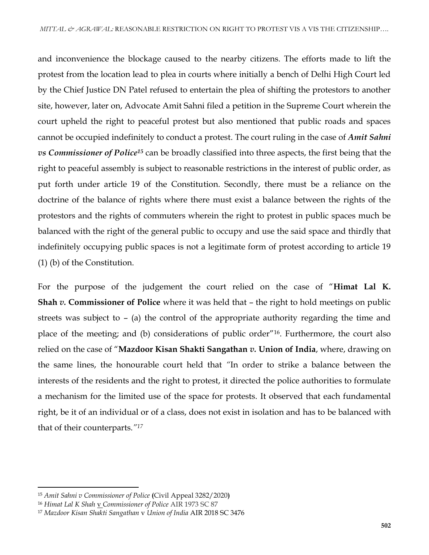and inconvenience the blockage caused to the nearby citizens. The efforts made to lift the protest from the location lead to plea in courts where initially a bench of Delhi High Court led by the Chief Justice DN Patel refused to entertain the plea of shifting the protestors to another site, however, later on, Advocate Amit Sahni filed a petition in the Supreme Court wherein the court upheld the right to peaceful protest but also mentioned that public roads and spaces cannot be occupied indefinitely to conduct a protest. The court ruling in the case of *Amit Sahni vs Commissioner of Police<sup>15</sup>* can be broadly classified into three aspects, the first being that the right to peaceful assembly is subject to reasonable restrictions in the interest of public order, as put forth under article 19 of the Constitution. Secondly, there must be a reliance on the doctrine of the balance of rights where there must exist a balance between the rights of the protestors and the rights of commuters wherein the right to protest in public spaces much be balanced with the right of the general public to occupy and use the said space and thirdly that indefinitely occupying public spaces is not a legitimate form of protest according to article 19 (1) (b) of the Constitution.

For the purpose of the judgement the court relied on the case of "**Himat Lal K. Shah** *v.* **Commissioner of Police** where it was held that – the right to hold meetings on public streets was subject to – (a) the control of the appropriate authority regarding the time and place of the meeting; and (b) considerations of public order"16. Furthermore, the court also relied on the case of "**Mazdoor Kisan Shakti Sangathan** *v.* **Union of India**, where, drawing on the same lines, the honourable court held that *"*In order to strike a balance between the interests of the residents and the right to protest, it directed the police authorities to formulate a mechanism for the limited use of the space for protests. It observed that each fundamental right, be it of an individual or of a class, does not exist in isolation and has to be balanced with that of their counterparts.*"<sup>17</sup>*

 $\overline{a}$ 

<sup>15</sup> *Amit Sahni v Commissioner of Police* **(**Civil Appeal 3282/2020**)** 

<sup>16</sup> *Himat Lal K Shah* v *[Commissioner of Police](https://main.sci.gov.in/judgment/judis/6718.pdf)* AIR 1973 SC 87

<sup>17</sup> *Mazdoor Kisan Shakti Sangathan* v *Union of India* AIR 2018 SC 3476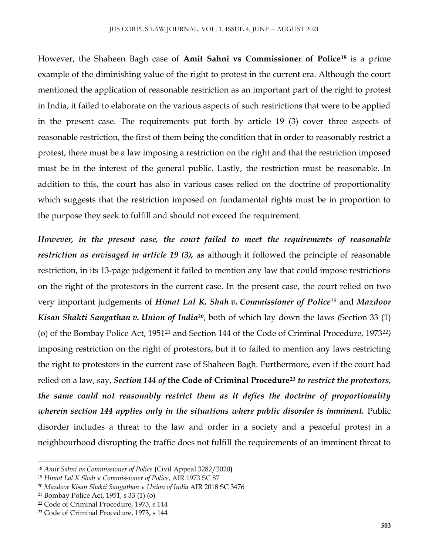However, the Shaheen Bagh case of **Amit Sahni vs Commissioner of Police<sup>18</sup>** is a prime example of the diminishing value of the right to protest in the current era. Although the court mentioned the application of reasonable restriction as an important part of the right to protest in India, it failed to elaborate on the various aspects of such restrictions that were to be applied in the present case. The requirements put forth by article 19 (3) cover three aspects of reasonable restriction, the first of them being the condition that in order to reasonably restrict a protest, there must be a law imposing a restriction on the right and that the restriction imposed must be in the interest of the general public. Lastly, the restriction must be reasonable. In addition to this, the court has also in various cases relied on the doctrine of proportionality which suggests that the restriction imposed on fundamental rights must be in proportion to the purpose they seek to fulfill and should not exceed the requirement.

*However, in the present case, the court failed to meet the requirements of reasonable restriction as envisaged in article 19 (3),* as although it followed the principle of reasonable restriction, in its 13-page judgement it failed to mention any law that could impose restrictions on the right of the protestors in the current case. In the present case, the court relied on two very important judgements of *Himat Lal K. Shah v. Commissioner of Police<sup>19</sup>* and *Mazdoor Kisan Shakti Sangathan v. Union of India<sup>20</sup>*, both of which lay down the laws *(*Section 33 (1) (o) of the Bombay Police Act, 1951<sup>21</sup> and Section 144 of the Code of Criminal Procedure, 1973*22)*  imposing restriction on the right of protestors, but it to failed to mention any laws restricting the right to protestors in the current case of Shaheen Bagh. Furthermore, even if the court had relied on a law, say, *Section 144 of* **the Code of Criminal Procedure<sup>23</sup>** *to restrict the protestors, the same could not reasonably restrict them as it defies the doctrine of proportionality wherein section 144 applies only in the situations where public disorder is imminent.* Public disorder includes a threat to the law and order in a society and a peaceful protest in a neighbourhood disrupting the traffic does not fulfill the requirements of an imminent threat to

 $\overline{\phantom{a}}$ 

<sup>18</sup> *Amit Sahni vs Commissioner of Police* **(**Civil Appeal 3282/2020**)**

<sup>19</sup> *Himat Lal K Shah* v *Commissioner of Police*, AIR 1973 SC 87

<sup>20</sup> *Mazdoor Kisan Shakti Sangathan* v *Union of India* AIR 2018 SC 3476

<sup>21</sup> Bombay Police Act, 1951, s 33 (1) (o)

<sup>22</sup> Code of Criminal Procedure, 1973, s 144

<sup>23</sup> Code of Criminal Procedure, 1973, s 144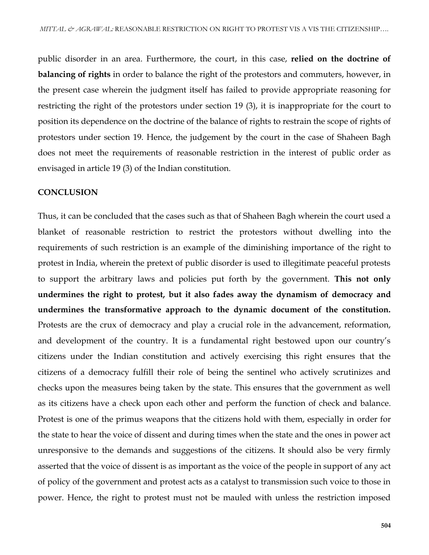public disorder in an area. Furthermore, the court, in this case, **relied on the doctrine of balancing of rights** in order to balance the right of the protestors and commuters, however, in the present case wherein the judgment itself has failed to provide appropriate reasoning for restricting the right of the protestors under section 19 (3), it is inappropriate for the court to position its dependence on the doctrine of the balance of rights to restrain the scope of rights of protestors under section 19. Hence, the judgement by the court in the case of Shaheen Bagh does not meet the requirements of reasonable restriction in the interest of public order as envisaged in article 19 (3) of the Indian constitution.

#### **CONCLUSION**

Thus, it can be concluded that the cases such as that of Shaheen Bagh wherein the court used a blanket of reasonable restriction to restrict the protestors without dwelling into the requirements of such restriction is an example of the diminishing importance of the right to protest in India, wherein the pretext of public disorder is used to illegitimate peaceful protests to support the arbitrary laws and policies put forth by the government. **This not only undermines the right to protest, but it also fades away the dynamism of democracy and undermines the transformative approach to the dynamic document of the constitution.** Protests are the crux of democracy and play a crucial role in the advancement, reformation, and development of the country. It is a fundamental right bestowed upon our country's citizens under the Indian constitution and actively exercising this right ensures that the citizens of a democracy fulfill their role of being the sentinel who actively scrutinizes and checks upon the measures being taken by the state. This ensures that the government as well as its citizens have a check upon each other and perform the function of check and balance. Protest is one of the primus weapons that the citizens hold with them, especially in order for the state to hear the voice of dissent and during times when the state and the ones in power act unresponsive to the demands and suggestions of the citizens. It should also be very firmly asserted that the voice of dissent is as important as the voice of the people in support of any act of policy of the government and protest acts as a catalyst to transmission such voice to those in power. Hence, the right to protest must not be mauled with unless the restriction imposed